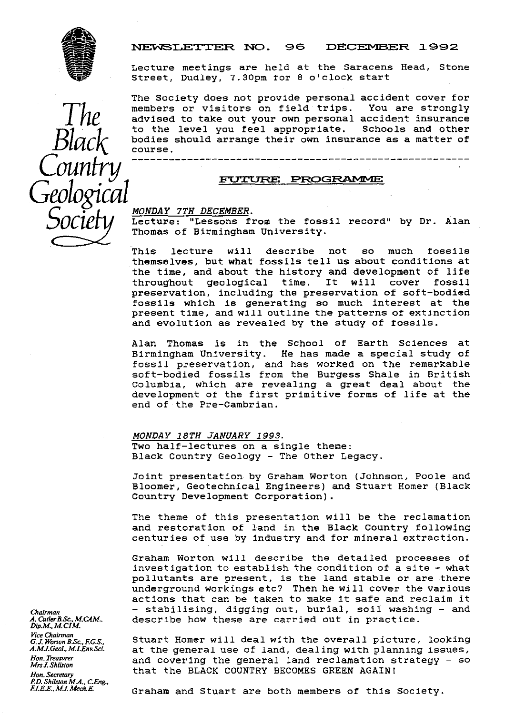

# **ILENE IN REWSLETTER NO. 96 DECEMBER 1992**

Lecture meetings are held at the Saracens Head, Stone Experience of the Community of the Community of the Community of the Same Street, Dudley, 7.30pm for 8 o'clock start

> The Society does not provide personal accident cover for<br>members or visitors on field trips. You are strongly advised to take out your own personal accident insurance<br>to the level you feel appropriate. Schools and other to the level you feel appropriate. bodies should arrange their own insurance as a matter of course.

<u>MONDAY 7TH DECEMBER</u>.<br>Lecture: "Lessons from the fossil record" by Dr. Alan Thomas of Birmingham University.

This lecture will describe not so much fossils themselves, but what fossils tell us about conditions at the time, and about the history and development of life<br>throughout geological time. It will cover fossil geological preservation, including the preservation of soft-bodied fossils which is generating so much interest at the present time, and will outline the patterns of extinction and evolution as revealed by the study of fossils.

Alan Thomas is in the School of Earth Sciences at<br>Birmingham University. He has made a special study of He has made a special study of fossil preservation, and has worked on the remarkable soft-bodied fossils from the Burgess Shale in British Columbia, which are revealing a great deal about the development of the first primitive forms of life at the end of the Pre-Cambrian.

*MONDAY 18TH JANUARY* 1993 . Two half-lectures on a single theme: Black Country Geology - The Other Legacy.

Joint presentation by Graham Worton (Johnson, Poole and Bloomer, Geotechnical Engineers) and Stuart Homer (Black Country Development Corporation).

The theme of this presentation will be the reclamation and restoration of land in the Black Country following centuries of use by industry and for mineral extraction.

Graham Worton will describe the detailed processes of investigation to establish the condition of a site - what pollutants are present, is the land stable or are there underground workings etc? Then he will cover the various actions that can be taken to make it safe and reclaim it *Chairman -* stabilising, digging out, burial, soil washing - and describe how these are carried out in practice.

*Gtuart Homer will deal with the overall picture, looking A.M.LGeol.,MLEnvSci.* at the general use of land, dealing with planning issues, *Hon. Treasurer* and covering the general land reclamation strategy - so *Mrs I.Shrlsron* that the BLACK COUNTRY BECOMES GREEN AGAIN!

*A. Cutler B.Sc., M.CAM., Dip.M., M.CIM.* Vice Chairman<br>G. J. Worton B. . *P.D. Shilsion M.R.,* **CEng.,**

*ElEE, M.LMech.E.* Graham and Stuart are both members of this Society.

Black Country COUNTS COUNTS  $\mathcal{Y}$ Geological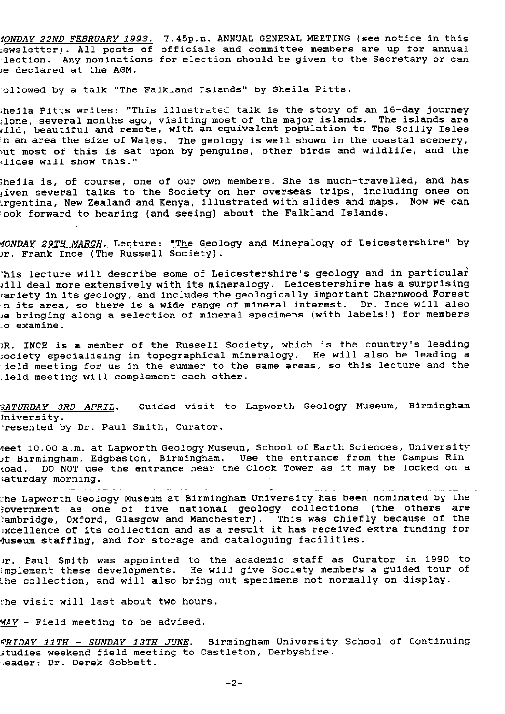*IONDAY 22ND FEBRUARY 1993.* 7.45p.m. ANNUAL GENERAL MEETING (see notice in this :.ewsletter). All posts of officials and committee members are up for annual -lection. Any nominations for election should be given to the Secretary or can ,e declared at the AGM.

ollowed by a talk "The Falkland Islands" by Sheila Pitts.

heila Pitts writes: "This illustrated talk is the story of an 18-day journey: :lone, several months ago, visiting most of the major islands. The islands are iild, beautiful and remote, with an equivalent population to The Scilly Isles In an area the size of Wales. The geology is well shown in the coastal scenery,  $\overline{\phantom{a}}$ *rut* most of this is sat upon by penguins, other birds and wildlife, and the ilides will show this."

Sheila **is,** of course, one of our own members. She is much-travelled, and has iven several talks to the Society on her overseas trips, including ones on .rgentina, New Zealand and Kenya, illustrated with slides and maps. Now we can `ook forward to hearing (and seeing) about the Falkland Islands.

MONDAY 29TH MARCH. Lecture: "The Geology and Mineralogy of Leicestershire" by )r. Frank Ince (The Russell Society).

his lecture will describe some of Leicestershire's geology and in particular till deal more extensively with its mineralogy. Leicestershire has a surprising ariety in its geology, and includes the geologically important Charnwood Forest n its area, so there is a wide range of mineral interest. Dr. Ince will also je bringing along a selection of mineral specimens (with labels!) for members \_o examine.

)R. INCE is a member of the Russell Society, which is the country's leading society specialising in topographical mineralogy. He will also be leading a field meeting for us in the summer to the same areas, so this lecture and the -field meeting will complement each other.

*\_ATURDA Y 3RD APRIL .* Guided visit to Lapworth Geology Museum, Birmingham Jniversity. 'resented by Dr. Paul Smith, Curator.

feet 10.00 a.m. at Lapworth Geology Museum, School of Earth Sciences, University if Birmingham, Edgbaston, Birmingham. Use the entrance from the Campus Rin toad. DO NOT use the entrance near the Clock Tower as it may be locked on a aturday morning.

he Lapworth Geology Museum at Birmingham University has been nominated by *the* Fovernment as one of five national geology collections (the others are .ambridge, Oxford, Glasgow and Manchester). This was chiefly because of the xcellence of its collection and as a result it has received extra funding for Museum staffing, and for storage and cataloguing facilities.

fir. Paul Smith was appointed to the academic staff as Curator in 1990 to implement these developments. He will give Society members a guided tour of he collection, and will also bring out specimens not normally on display.

he visit will last about two hours.

 $\texttt{MAX - Field meeting to be advised.}$ 

*FRIDAY 11TH - SUNDAY 13TH JUNE .* Birmingham University *School of* Continuing Studies weekend field meeting to Castleton, Derbyshire. .eader: Dr. Derek Gobbett.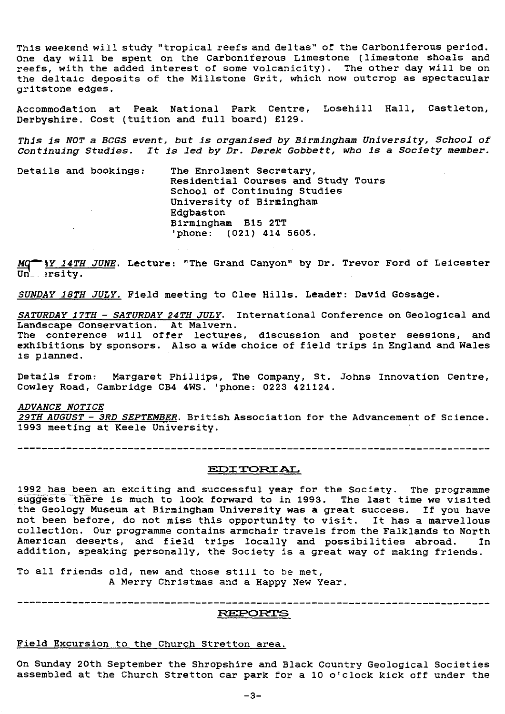This weekend will study "tropical reefs and deltas" of the Carboniferous period. One day will be spent on the Carboniferous Limestone (limestone shoals and reefs, with the added interest of some volcanicity). The other day will be on the deltaic deposits of the Millstone Grit, which now outcrop as spectacular gritstone edges.

Accommodation at Peak National Park Centre, Losehill Hall, Castleton, Derbyshire. Cost (tuition and full board) £129.

*This is NOT a BCGS* event, but is *organised by Birmingham University, School of* Continuing *Studies. It is led by Dr. Derek Gobbett, who is a Society member.*

Details and bookings: The Enrolment Secretary, Residential Courses and Study Tours School of Continuing Studies University of Birmingham Edgbaston Birmingham B15 2TT 'phone: (021) **414 5605.**

*IY 14TH JUNE.* Lecture: "The Grand Canyon" by Dr. Trevor Ford of Leicester  $\texttt{Un}_-$  rsity.

*SUNDAY 18TH JULY.* Field meeting to Clee Hills. Leader: David Gossage.

*SATURDAY 17TH - SATURDAY 24TH JULY.* International Conference on Geological and Landscape Conservation. At Malvern. The conference will offer lectures, discussion and poster sessions, and exhibitions by sponsors. Also a wide choice of field trips in England and Wales

Details from: Margaret Phillips, The Company, St. Johns Innovation Centre, Cowley Road, Cambridge **CB4 4WS. 'phone: 0223 421124.**

#### *ADVANCE NOTICE*

is planned.

*29TH AUGUST - 3RD SEPTEMBER . British* Association for the Advancement of Science. 1993 meeting at Keele University.

#### **EDITORIAL**

1992 has been an exciting and successful year for the Society. The programme suggests there is much to look forward to in 1993. The last time we visited the Geology Museum at Birmingham University **was a** great success. If you have not been before, do not miss this opportunity to visit. It has a marvellous collection. Our programme contains armchair travels from the Falklands to North American deserts, and field trips locally and possibilities abroad. In addition, speaking personally, the Society is a great way of making friends.

To all friends old, new and those still to be met, A Merry Christmas and a Happy New Year.

**REPORTS**

#### Field Excursion to the Church Stretton area.

On Sunday 20th September the Shropshire and Black Country Geological Societies assembled at the Church Stretton car park for a 10 o'clock kick off under the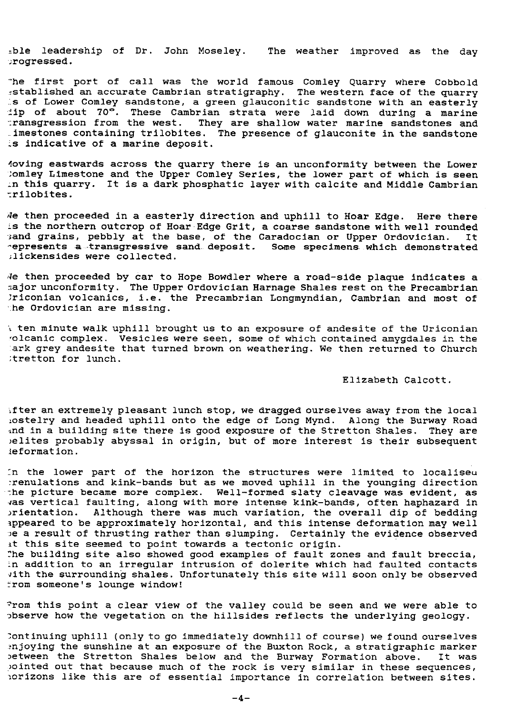-ble leadership of Dr. John Moseley. The weather improved as the day .rogressed.

he first port of call was the world famous Comley Quarry where Cobbold -stablished an accurate Cambrian stratigraphy. The western face of the quarry .s of Lower Comley sandstone, a green glauconitic sandstone with an easterly  $\pm$ ip of about 70°. These Cambrian strata were laid down during a marine transgression from the west. They are shallow water marine sandstones and -.imestones containing trilobites. The presence of glauconite in the sandstone 's indicative of a marine deposit.

Moving eastwards across the quarry there is an unconformity between the Lower -; omley Limestone and the Upper Comley Series, the lower part of which is seen In this quarry. It is a dark phosphatic layer with calcite and Middle Cambrian -rilobites.

4e then proceeded in a easterly direction and uphill to Hoar Edge. Here there is the northern outcrop of Hoar-Edge Grit, a coarse sandstone with well rounded<br>Band grains, pebbly at the base, of the Caradocian or Upper Ordovician. It Band grains, pebbly at the base, of the Caradocian or Upper Ordovician. represents a transgressive sand deposit. Some specimens which demonstrated ;lickensides were collected.

'4e then proceeded by car to Hope Bowdler where a road-side plaque indicates a sajor unconformity. The Upper Ordovician Harnage Shales rest on the Precambrian 7riconian volcanics, i.e. the Precambrian Longmyndian, Cambrian and most of • :he Ordovician are missing.

ten minute walk uphill brought us to an exposure of andesite of the Uriconian volcanic complex. Vesicles were seen, some of which contained amygdales in the ark grey andesite that turned brown on weathering. We then returned to Church ;tretton for lunch.

#### Elizabeth Calcott.

After an extremely pleasant lunch stop, we dragged ourselves away from the local .ostelry and headed uphill onto the edge of Long Mynd. Along the Burway Road ind in a building site there is good exposure of the Stretton Shales. They are )elites probably abyssal in origin, but of more interest is their subsequent leformation.

In the lower part of the horizon the structures were limited to localiseu :renulations and kink-bands but as we moved uphill in the younging direction the picture became more complex. Well-formed slaty cleavage was evident, as vas vertical faulting, along with more intense kink-bands, often haphazard in orientation. Although there was much variation, the overall dip of bedding ippeared to be approximately horizontal, and this intense deformation may well De a result of thrusting rather than slumping. Certainly the evidence observed at this site seemed to point towards a tectonic origin.

he building site also showed good examples of fault zones and fault breccia, .n addition to an irregular intrusion of dolerite which had faulted contacts with the surrounding shales. Unfortunately this site will soon only be observed rom someone's lounge window!

From this point a clear view of the valley could be seen and we were able to observe how the vegetation on the hillsides reflects the underlying geology.

;ontinuing uphill (only to go immediately downhill of course) we found ourselves 1njoying the sunshine at an exposure of the Buxton Rock, a stratigraphic marker between the Stretton Shales below and the Burway Formation above. It was ointed out that because much of the rock is very similar in these sequences, iorizons like this are of essential importance in correlation between sites.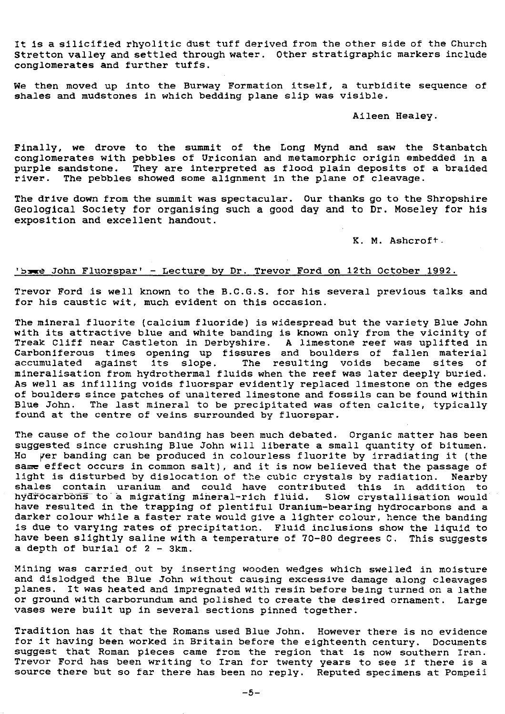it Is a silicified rhyolitic dust tuff derived from the other side of the Church Stretton valley and settled through water. Other stratigraphic markers include conglomerates and further tuffs.

We then moved up into the Burway Formation itself, a turbidite sequence of shales and mudstones in which bedding plane slip was visible.

#### Aileen Healey.

Finally, we drove to the summit of the Long Mynd and saw the Stanbatch conglomerates with pebbles of Uriconian and metamorphic origin embedded in a purple sandstone. They are interpreted as flood plain deposits of a braided river. The pebbles showed some alignment in the plane of cleavage.

The drive down from the summit was spectacular. Our thanks go to the Shropshire Geological Society for organising such a good day and to Dr. Moseley for his exposition and excellent handout.

K. M. Ashcroft-

## bre John Fluorspar' - Lecture by Dr. Trevor Ford on 12th October 1992<sup>.</sup>

Trevor Ford is well known to the B.C.G.S. for his several previous talks and for his caustic wit, much evident on this occasion.

The mineral fluorite (calcium fluoride) is widespread but the variety Blue John with its attractive blue and white banding is known only from the vicinity of Treak Cliff near Castleton in Derbyshire. A limestone reef was uplifted in Carboniferous times opening up fissures and boulders of fallen materia accumulated against Its slope. The resulting voids became sites of mineralisation from hydrothermal fluids when the reef was later deeply buried. As well as infilling voids fluorspar evidently replaced limestone on the edges of boulders since patches of unaltered limestone and fossils can be found within Blue John. *The* last mineral to be precipitated was often calcite, typically found at the centre of veins surrounded by fluorspar.

The cause of the colour banding has been much debated. Organic matter has been suggested since crushing Blue John will liberate a small quantity of bitumen. Ho yer banding can be produced in colourless fluorite by irradiating it (the same effect occurs in common salt), and it is now believed that the passage of light is disturbed by dislocation of the cubic crystals by radiation. Nearby shales contain uranium and could have contributed this in addition to hydrocarbons to a migrating mineral-rich fluid. Slow crystallisation would have resulted in the trapping of plentiful Uranium-bearing hydrocarbons and a darker colour while a faster rate would give a lighter colour, hence the banding is due to varying rates of precipitation. Fluid inclusions *show* the liquid to have been slightly saline with a temperature of 70-80 degrees C. This suggests a depth of burial of 2 - 3km.

Mining was carried out by inserting wooden wedges which swelled in moisture and dislodged the Blue John without causing excessive damage along cleavages planes. It was heated and impregnated with resin before being turned on a lathe or ground with carborundum and polished to create the desired ornament. Large vases were built up in several sections pinned together.

Tradition has it that the Romans used Blue John. However there is no evidence for it having been worked in Britain before the eighteenth century. Documents suggest that Roman pieces came from the region that is now southern Iran. Trevor Ford has been writing to Iran for twenty years to see if there is a source there but so far there has been no reply. Reputed specimens at Pompeii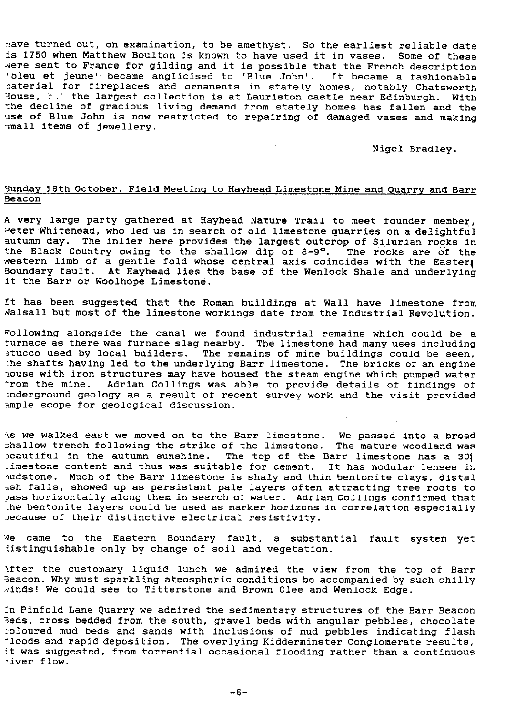.ave turned out, on examination, to be amethyst. So the earliest reliable date is 1750 when Matthew Boulton is known to have used it in vases. Some of these Nere sent to France for gilding and it is possible that the French description 'bleu et jeune' became anglicised to 'Blue John'. It became a fashionable naterial for fireplaces and ornaments in stately homes, notably Chatswort! House, the largest collection is at Lauriston castle near Edinburgh. With the decline of gracious living demand from stately homes has fallen and the use of Blue John is now restricted to repairing of damaged vases and making small items of jewellery.

Nigel Bradley.

## 3unday 18th October. Field Meeting to Hayhead Limestone Mine and Quarry and Barı Beacon

A very large party gathered at Hayhead Nature Trail to meet founder member, ?eter Whitehead, who led us in search of old limestone quarries on a delightful autumn day. The inlier here provides the largest outcrop of Silurian rocks in autumn day. The influent here provides the largest outcrop of silurian rocks in<br>the Black Country owing to the shallow dip of 8-9°. The rocks are of the western limb of a gentle fold whose central axis coincides with the Easter $_{\rm l}$ Boundary fault. At Hayhead lies the base of the Wenlock Shale and underlying it the Barr or Woolhope Limestone.

it has been suggested that the Roman buildings at Wall have limestone from Aalsall but most of the limestone workings date from the Industrial Revolution.

"ollowing alongside the canal we found industrial remains which could be a urnace as there was furnace slag nearby. The limestone had many uses including stucco used by local builders. The remains of mine buildings could be seen, the shafts having led to the underlying Barr limestone. The bricks of an engine house with iron structures may have housed the steam engine which pumped water from the mine. Adrian Collings was able to provide details of findings of inderground geology as a result of recent survey work and the visit provided ample scope for geological discussion.

Is we walked east we moved on to the Barr limestone. We passed into a broad shallow trench following the strike of the limestone. The mature woodland was )eautiful in the autumn sunshine. The top of the Barr limestone has a 301 limestone content and thus was suitable for cement. It has nodular lenses in. audstone. Much of the Barr limestone is shaly and thin bentonite clays, distal ash falls, showed up as persistent pale layers often attracting tree roots to ?ass horizontally along them in search of water. Adrian Collings confirmed that the bentonite layers could be used as marker horizons in correlation especially because of their distinctive electrical resistivity.

1e came to the Eastern Boundary fault, a substantial fault system yet listinguishable only by change of soil and vegetation.

after the customary liquid lunch we admired the view from the top of Barr Beacon. Why must sparkling atmospheric conditions be accompanied by such chilly winds! We could see to Titterstone and Brown Clee and Wenlock Edge.

:n Pinfold Lane Quarry we admired the sedimentary structures of the Barr Beacon 3eds, cross bedded from the south, gravel beds with angular pebbles, chocolate :oloured mud beds and sands with inclusions of mud pebbles indicating flash = loods and rapid deposition. The overlying Kidderminster Conglomerate results, it was suggested, from torrential occasional flooding rather than a continuous 'fiver flow.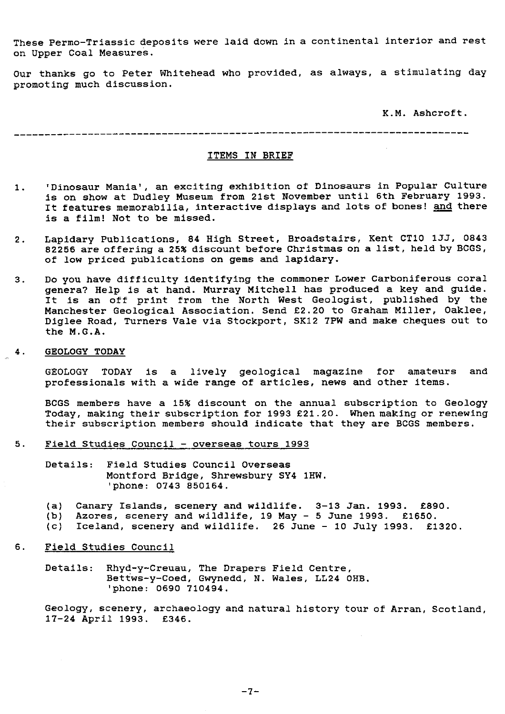These Permo-Triassic deposits were laid down in a continental interior and rest on Upper Coal Measures.

Our thanks go to Peter Whitehead who provided, as always, a stimulating day promoting much discussion.

K.M. Ashcroft.

### ITEMS IN BRIEF

- 1. 'Dinosaur Mania', an exciting exhibition of Dinosaurs in Popular Culture is on show at Dudley Museum from 21st November until 6th February 1993. It features memorabilia, interactive displays and lots of bones! and there is a film! Not to be missed.
- 2. Lapidary Publications, 84 High Street, Broadstairs, Kent CT10 133, 0843 82256 are offering a 25% discount before Christmas on a list, held by BCGS, of low priced publications on gems and lapidary.
- 3. Do you have difficulty identifying the commoner Lower Carboniferous coral genera? Help is at hand. Murray Mitchell has produced a key and guide. It is an off print from the North West Geologist, published by the Manchester Geological Association. Send £2.20 to Graham Miller, Oaklee, Diglee Road, Turners Vale via Stockport, SK12 7PW and make cheques out to the M.G.A.

## **4. GEOLOGY TODAY**

GEOLOGY TODAY is a lively geological magazine for amateurs and professionals with a wide range of articles, news and other items.

BCGS members have a 15% discount on the annual subscription to Geology Today, making their subscription for 1993 £21.20. When making or renewing their subscription members should indicate that they are BCGS members.

- 5. Field Studies Council overseas tours 1993
	- Details: Field Studies Council Overseas Montford Bridge, Shrewsbury SY4 1HW. 'phone: 0743 850164.
	- (a) Canary Islands, scenery and wildlife. 3-13 Jan. 1993. £890.
	- (b) Azores, scenery and wildlife, 19 May 5 June 1993. £1650.
	- (c) Iceland, scenery and wildlife. 26 June 10 July 1993. £1320.
- 6. Field Studies Council

Details: Rhyd-y-Creuau, The Drapers Field Centre, Bettws-y-Coed, Gwynedd, N. Wales, LL24 OHB. 'phone: 0690 710494.

Geology, scenery, archaeology and natural history tour of Arran, Scotland, 17 **-24** April 1993. £346.